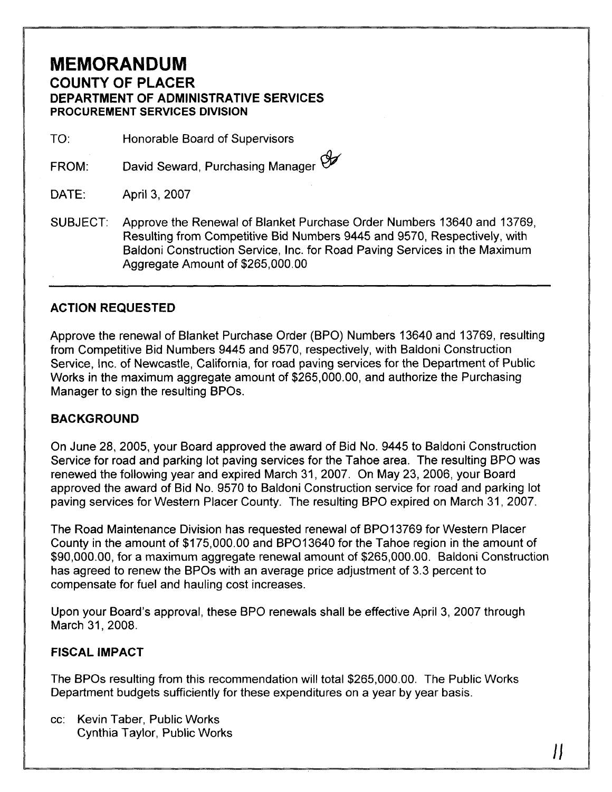## **MEMORANDUM COUNTY OF PLACER DEPARTMENT OF ADMINISTRATIVE SERVICES PROCUREMENT SERVICES DIVISION**

TO: Honorable Board of Supervisors

FROM: David Seward, Purchasing Manager

DATE: April 3, 2007

SUBJECT: Approve the Renewal of Blanket Purchase Order Numbers 13640 and 13769, Resulting from Competitive Bid Numbers 9445 and 9570, Respectively, with Baldoni Construction Service, Inc. for Road Paving Services in the Maximum Aggregate Amount of \$265,000.00

## **ACTION REQUESTED**

Approve the renewal of Blanket Purchase Order (BPO) Numbers 13640 and 13769, resulting from Competitive Bid Numbers 9445 and 9570, respectively, with Baldoni Construction Service, Inc. of Newcastle, California, for road paving services for the Department of Public Works in the maximum aggregate amount of \$265,000.00, and authorize the Purchasing Manager to sign the resulting BPOs.

## **BACKGROUND**

On June 28, 2005, your Board approved the award of Bid No. 9445 to Baldoni Construction Service for road and parking lot paving services for the Tahoe area. The resulting BPO was renewed the following year and expired March 31, 2007. On May 23, 2006, your Board approved the award of Bid No. 9570 to Baldoni Construction service for road and parking lot paving services for Western Placer County. The resulting BPO expired on March 31, 2007.

The Road Maintenance Division has requested renewal of BPO13769 for Western Placer County in the amount of \$175,000.00 and BP013640 for the Tahoe region in the amount of \$90,000.00, for a maximum aggregate renewal amount of \$265,000.00. Baldoni Construction has agreed to renew the BPOs with an average price adjustment of 3.3 percent to compensate for fuel and hauling cost increases.

Upon your Board's approval, these BPO renewals shall be effective April 3, 2007 through March 31, 2008.

## **FISCAL IMPACT**

The BPOs resulting from this recommendation will total \$265,000.00. The Public Works Department budgets sufficiently for these expenditures on a year by year basis.

 $\boldsymbol{\mu}$ 

cc: Kevin Taber, Public Works Cynthia Taylor, Public Works